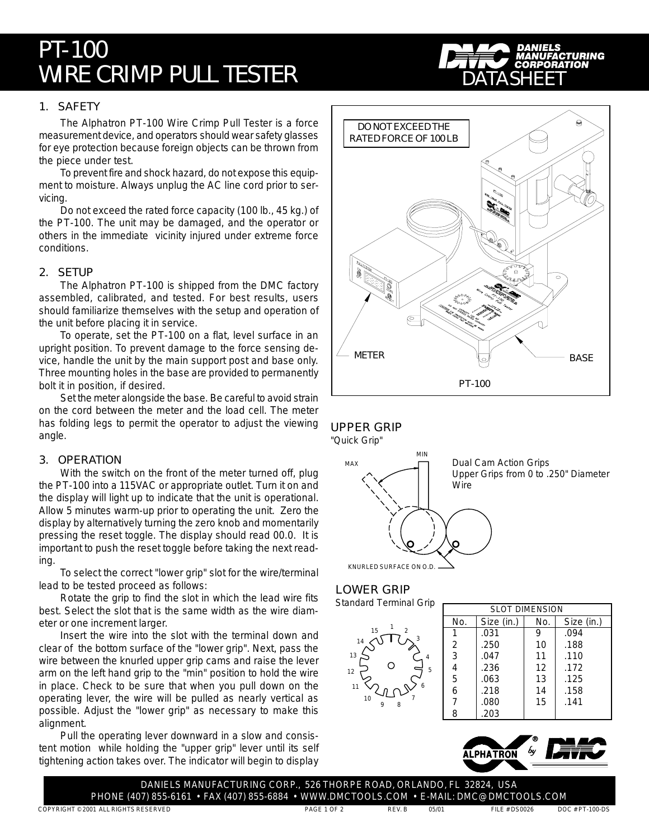# PT-100 WIRE CRIMP PULL TESTER

## 1. SAFETY

The Alphatron PT-100 Wire Crimp Pull Tester is a force measurement device, and operators should wear safety glasses for eye protection because foreign objects can be thrown from the piece under test.

To prevent fire and shock hazard, do not expose this equipment to moisture. Always unplug the AC line cord prior to servicing.

Do not exceed the rated force capacity (100 lb., 45 kg.) of the PT-100. The unit may be damaged, and the operator or others in the immediate vicinity injured under extreme force conditions.

## 2. SETUP

The Alphatron PT-100 is shipped from the DMC factory assembled, calibrated, and tested. For best results, users should familiarize themselves with the setup and operation of the unit before placing it in service.

To operate, set the PT-100 on a flat, level surface in an upright position. To prevent damage to the force sensing device, handle the unit by the main support post and base only. Three mounting holes in the base are provided to permanently bolt it in position, if desired.

Set the meter alongside the base. Be careful to avoid strain on the cord between the meter and the load cell. The meter has folding legs to permit the operator to adjust the viewing angle.

## 3. OPERATION

With the switch on the front of the meter turned off, plug the PT-100 into a 115VAC or appropriate outlet. Turn it on and the display will light up to indicate that the unit is operational. Allow 5 minutes warm-up prior to operating the unit. Zero the display by alternatively turning the zero knob and momentarily pressing the reset toggle. The display should read 00.0. It is important to push the reset toggle before taking the next reading.

To select the correct "lower grip" slot for the wire/terminal lead to be tested proceed as follows:

Rotate the grip to find the slot in which the lead wire fits best. Select the slot that is the same width as the wire diameter or one increment larger.

Insert the wire into the slot with the terminal down and clear of the bottom surface of the "lower grip". Next, pass the wire between the knurled upper grip cams and raise the lever arm on the left hand grip to the "min" position to hold the wire in place. Check to be sure that when you pull down on the operating lever, the wire will be pulled as nearly vertical as possible. Adjust the "lower grip" as necessary to make this alignment.

Pull the operating lever downward in a slow and consistent motion while holding the "upper grip" lever until its self tightening action takes over. The indicator will begin to display



DATASHEET



## LOWER GRIP



| <b>SLOT DIMENSION</b> |            |     |            |
|-----------------------|------------|-----|------------|
| No.                   | Size (in.) | No. | Size (in.) |
|                       | .031       | 9   | .094       |
| 2                     | .250       | 10  | .188       |
| 3                     | .047       | 11  | .110       |
| 4                     | .236       | 12  | .172       |
| 5                     | .063       | 13  | .125       |
| 6                     | .218       | 14  | .158       |
| 7                     | .080       | 15  | .141       |
| 8                     | .203       |     |            |



DANIELS MANUFACTURING CORP., 526 THORPE ROAD, ORLANDO, FL 32824, USA PHONE (407) 855-6161 • FAX (407) 855-6884 • WWW.DMCTOOLS.COM • E-MAIL: DMC@DMCTOOLS.COM